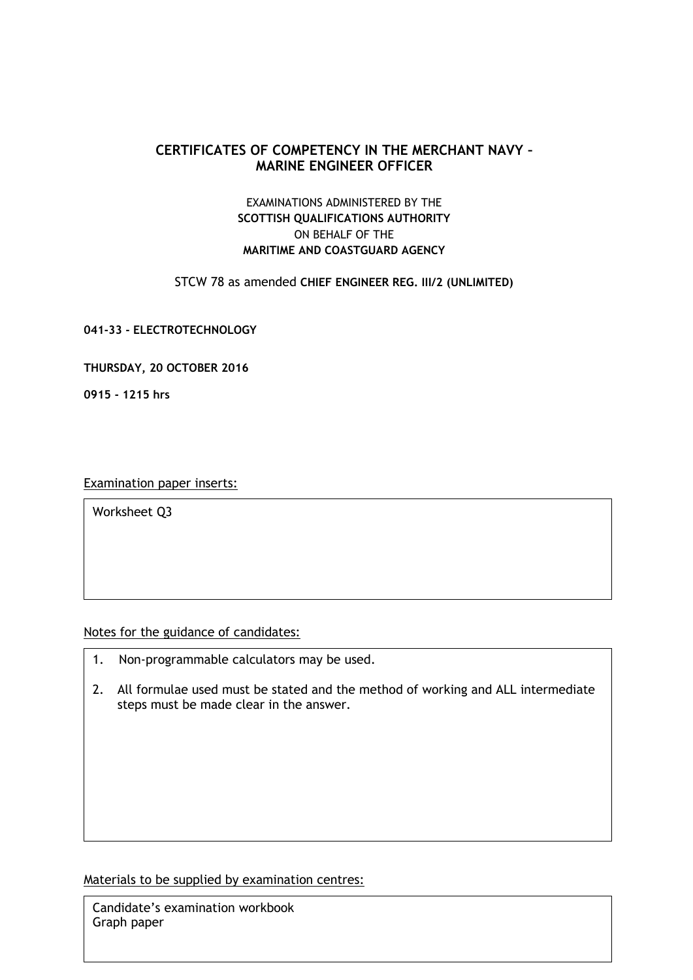## **CERTIFICATES OF COMPETENCY IN THE MERCHANT NAVY – MARINE ENGINEER OFFICER**

## EXAMINATIONS ADMINISTERED BY THE **SCOTTISH QUALIFICATIONS AUTHORITY** ON BEHALF OF THE **MARITIME AND COASTGUARD AGENCY**

STCW 78 as amended **CHIEF ENGINEER REG. III/2 (UNLIMITED)**

**041-33 - ELECTROTECHNOLOGY**

**THURSDAY, 20 OCTOBER 2016**

**0915 - 1215 hrs**

Examination paper inserts:

Worksheet Q3

Notes for the guidance of candidates:

- 1. Non-programmable calculators may be used.
- 2. All formulae used must be stated and the method of working and ALL intermediate steps must be made clear in the answer.

Materials to be supplied by examination centres:

Candidate's examination workbook Graph paper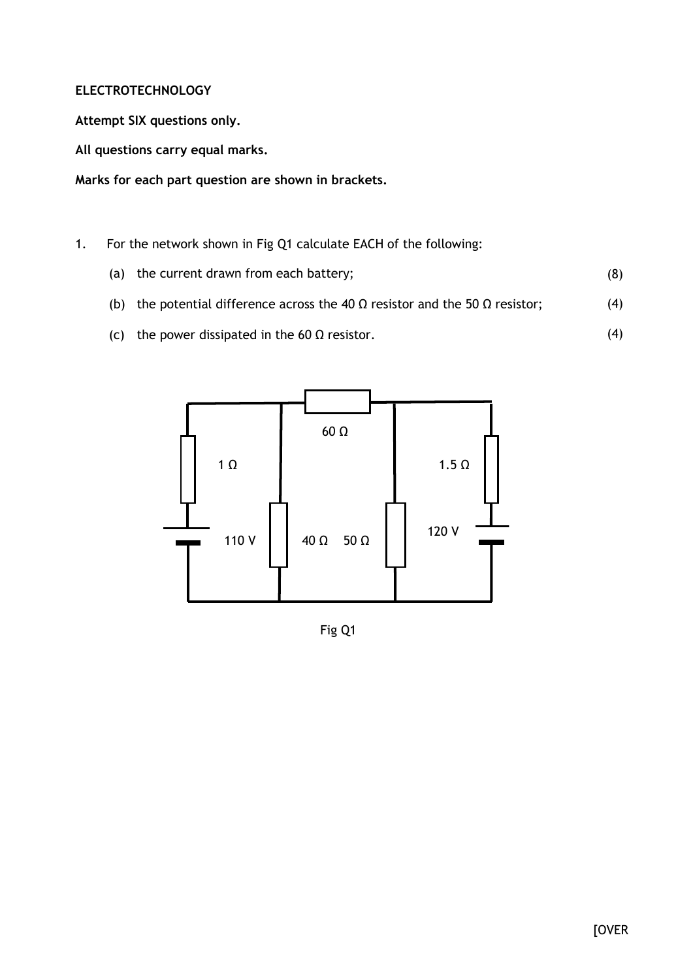## **ELECTROTECHNOLOGY**

**Attempt SIX questions only.**

**All questions carry equal marks.**

**Marks for each part question are shown in brackets.**

- 1. For the network shown in Fig Q1 calculate EACH of the following:
	- (a) the current drawn from each battery; (8)
	- (b) the potential difference across the 40  $\Omega$  resistor and the 50  $\Omega$  resistor; (4)
	- (c) the power dissipated in the 60  $\Omega$  resistor.



Fig Q1

(4)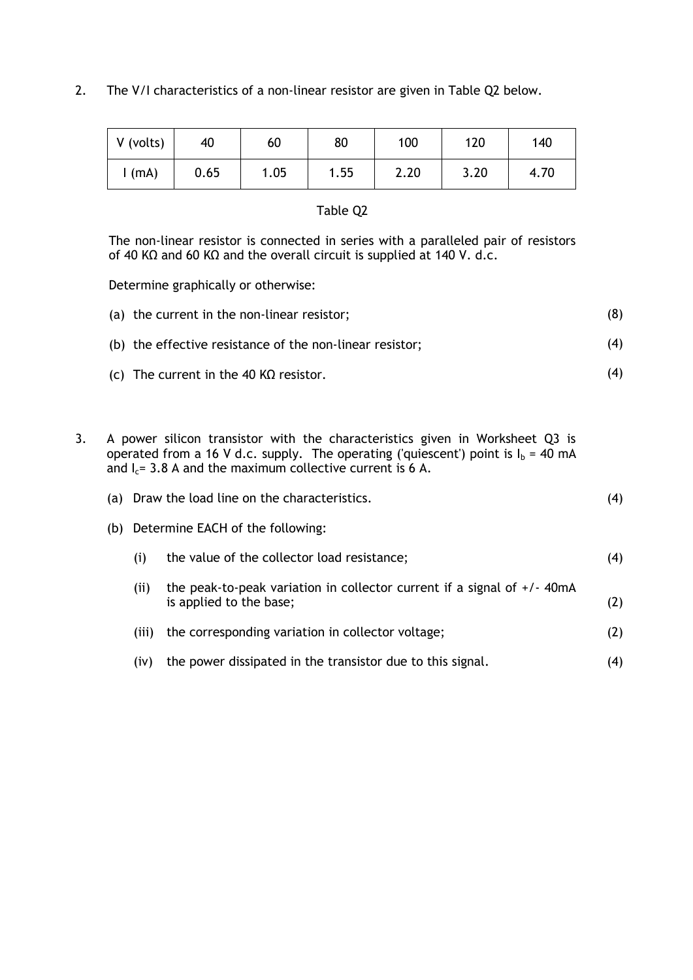2. The V/I characteristics of a non-linear resistor are given in Table Q2 below.

| V (volts) | 40   | 60   | 80   | 100  | 120  | 140  |
|-----------|------|------|------|------|------|------|
| (mA)      | 0.65 | 1.05 | l.55 | 2.20 | 3.20 | 4.70 |

## Table Q2

The non-linear resistor is connected in series with a paralleled pair of resistors of 40 KΩ and 60 KΩ and the overall circuit is supplied at 140 V. d.c.

Determine graphically or otherwise:

| (a) the current in the non-linear resistor;              | (8) |
|----------------------------------------------------------|-----|
| (b) the effective resistance of the non-linear resistor; | (4) |
| (c) The current in the 40 K $\Omega$ resistor.           | (4) |

3. A power silicon transistor with the characteristics given in Worksheet Q3 is operated from a 16 V d.c. supply. The operating ('quiescent') point is  $I_b = 40$  mA and  $I_c$  = 3.8 A and the maximum collective current is 6 A.

|     |                                  | (a) Draw the load line on the characteristics.                                                       | (4) |  |  |
|-----|----------------------------------|------------------------------------------------------------------------------------------------------|-----|--|--|
| (b) | Determine EACH of the following: |                                                                                                      |     |  |  |
|     | (i)                              | the value of the collector load resistance;                                                          | (4) |  |  |
|     | (i)                              | the peak-to-peak variation in collector current if a signal of $+/$ -40mA<br>is applied to the base; | (2) |  |  |
|     | (iii)                            | the corresponding variation in collector voltage;                                                    | (2) |  |  |
|     | (iv)                             | the power dissipated in the transistor due to this signal.                                           | (4) |  |  |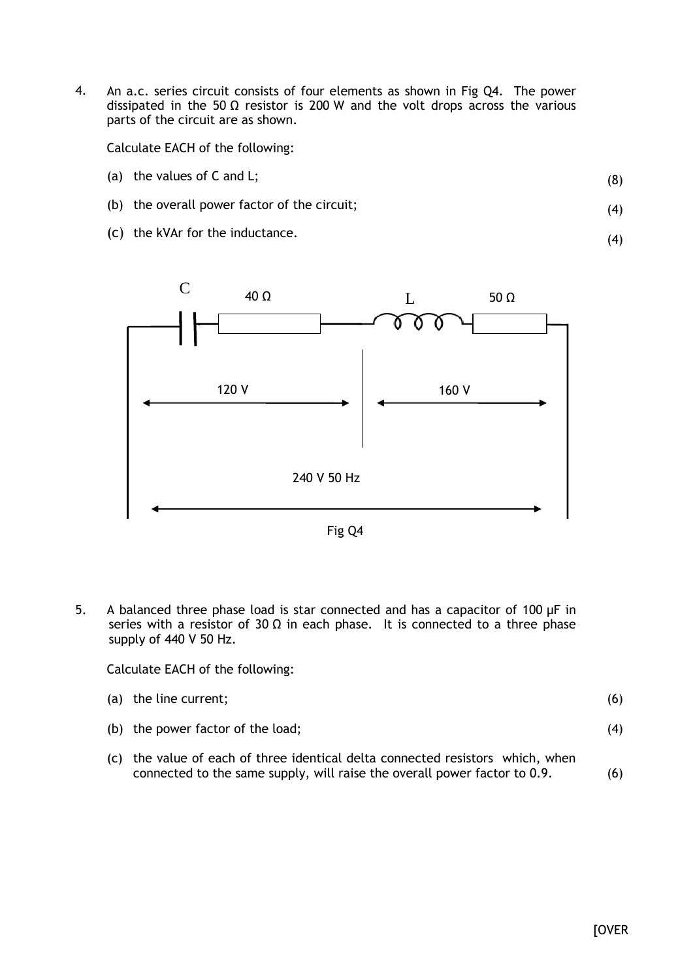4. An a.c. series circuit consists of four elements as shown in Fig Q4. The power dissipated in the 50  $\Omega$  resistor is 200 W and the volt drops across the various parts of the circuit are as shown.

Calculate EACH of the following:

(a) the values of C and L;

(8)

(4)

(4)

- (b) the overall power factor of the circuit;
- (c) the kVAr for the inductance.



Fig Q4

5. A balanced three phase load is star connected and has a capacitor of 100 μF in series with a resistor of 30  $\Omega$  in each phase. It is connected to a three phase supply of 440 V 50 Hz.

Calculate EACH of the following:

| (a) the line current;             | (6) |
|-----------------------------------|-----|
| (b) the power factor of the load; | (4) |

(c) the value of each of three identical delta connected resistors which, when connected to the same supply, will raise the overall power factor to 0.9. (6)